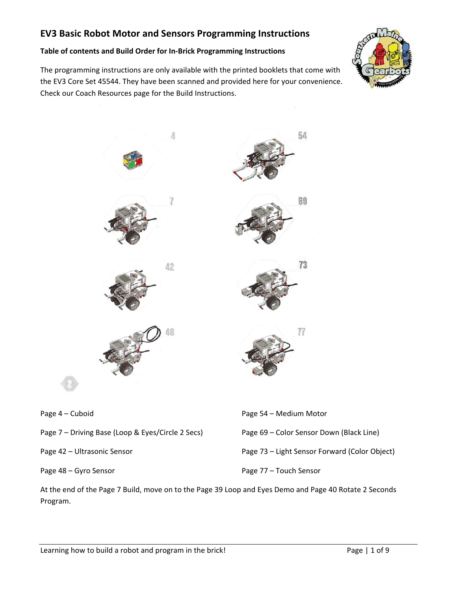#### **Table of contents and Build Order for In‐Brick Programming Instructions**

The programming instructions are only available with the printed booklets that come with the EV3 Core Set 45544. They have been scanned and provided here for your convenience. Check our Coach Resources page for the Build Instructions.





- Page 7 Driving Base (Loop & Eyes/Circle 2 Secs)
- Page 42 Ultrasonic Sensor

Page 48 – Gyro Sensor

Page 69 – Color Sensor Down (Black Line) Page 73 – Light Sensor Forward (Color Object) Page 77 – Touch Sensor

At the end of the Page 7 Build, move on to the Page 39 Loop and Eyes Demo and Page 40 Rotate 2 Seconds Program.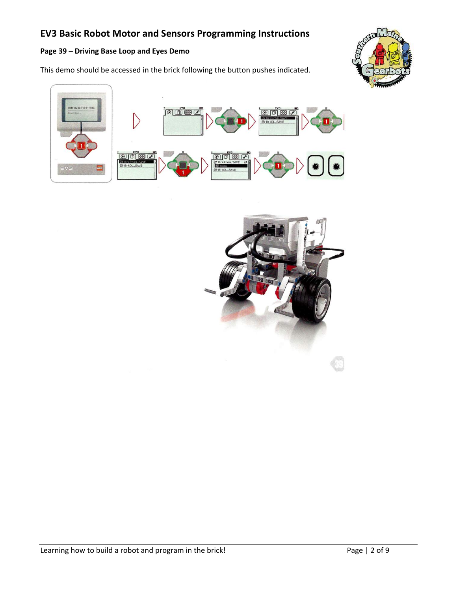#### **Page 39 – Driving Base Loop and Eyes Demo**

This demo should be accessed in the brick following the button pushes indicated.





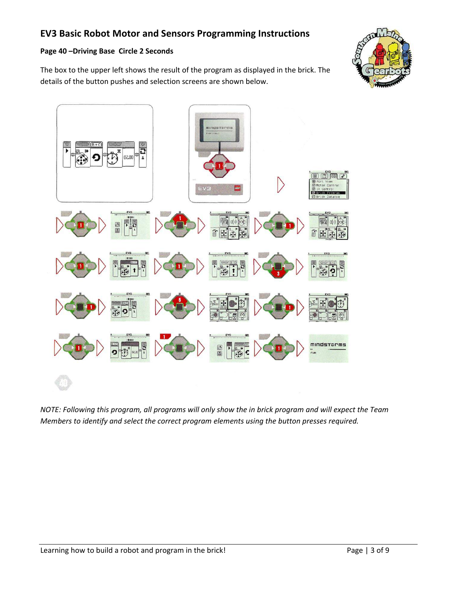#### **Page 40 –Driving Base Circle 2 Seconds**

The box to the upper left shows the result of the program as displayed in the brick. The details of the button pushes and selection screens are shown below.





*NOTE: Following this program, all programs will only show the in brick program and will expect the Team Members to identify and select the correct program elements using the button presses required.*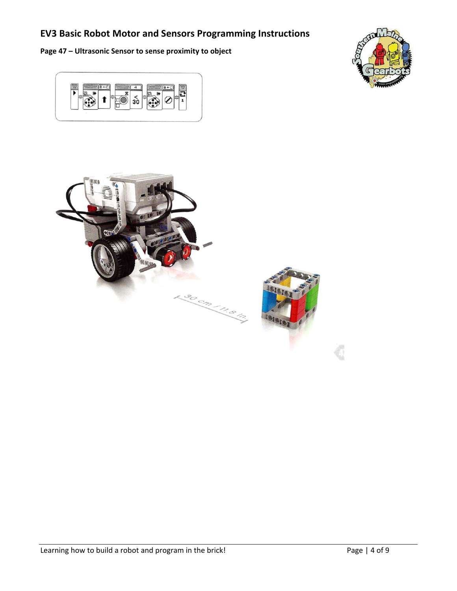**Page 47 – Ultrasonic Sensor to sense proximity to object** 





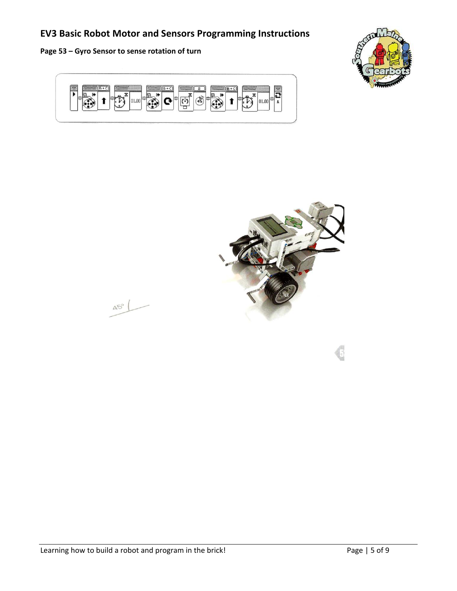**Page 53 – Gyro Sensor to sense rotation of turn** 

 $AS^{\circ}$ 





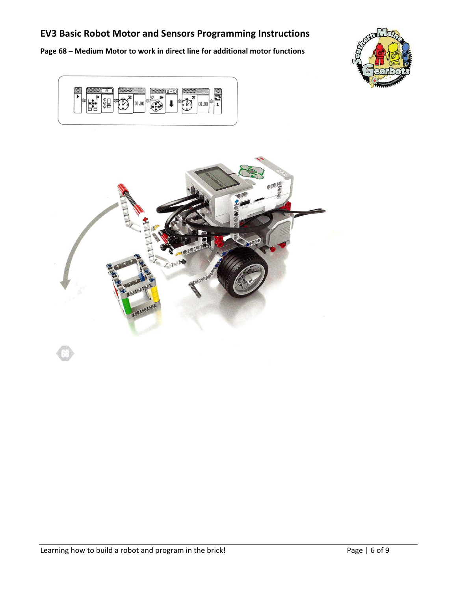**Page 68 – Medium Motor to work in direct line for additional motor functions** 





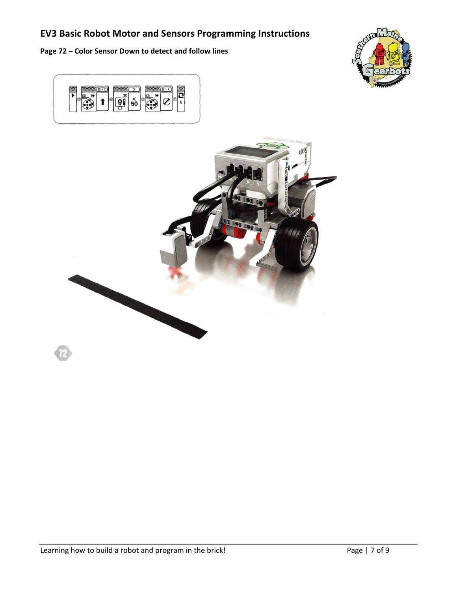**Page 72 – Color Sensor Down to detect and follow lines** 





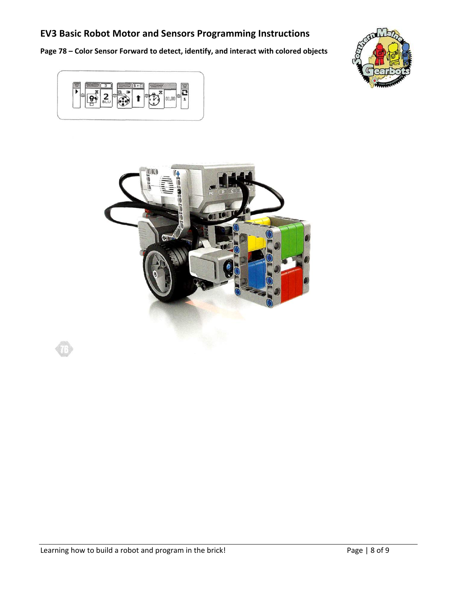**Page 78 – Color Sensor Forward to detect, identify, and interact with colored objects**